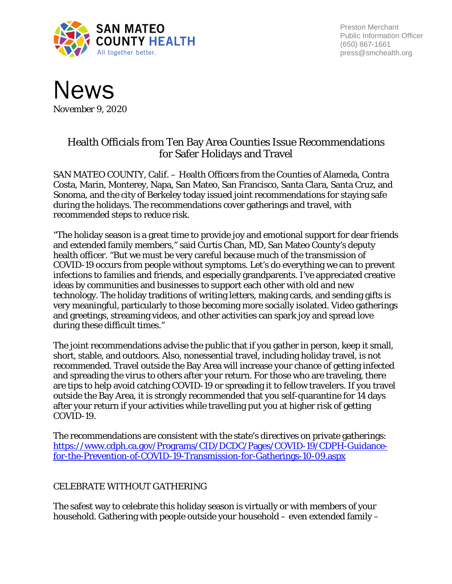

Preston Merchant Public Information Officer (650) 867-1661 press@smchealth.org



## Health Officials from Ten Bay Area Counties Issue Recommendations for Safer Holidays and Travel

SAN MATEO COUNTY, Calif. – Health Officers from the Counties of Alameda, Contra Costa, Marin, Monterey, Napa, San Mateo, San Francisco, Santa Clara, Santa Cruz, and Sonoma, and the city of Berkeley today issued joint recommendations for staying safe during the holidays. The recommendations cover gatherings and travel, with recommended steps to reduce risk.

"The holiday season is a great time to provide joy and emotional support for dear friends and extended family members," said Curtis Chan, MD, San Mateo County's deputy health officer. "But we must be very careful because much of the transmission of COVID-19 occurs from people without symptoms. Let's do everything we can to prevent infections to families and friends, and especially grandparents. I've appreciated creative ideas by communities and businesses to support each other with old and new technology. The holiday traditions of writing letters, making cards, and sending gifts is very meaningful, particularly to those becoming more socially isolated. Video gatherings and greetings, streaming videos, and other activities can spark joy and spread love during these difficult times."

The joint recommendations advise the public that if you gather in person, keep it small, short, stable, and outdoors. Also, nonessential travel, including holiday travel, is not recommended. Travel outside the Bay Area will increase your chance of getting infected and spreading the virus to others after your return. For those who are traveling, there are tips to help avoid catching COVID-19 or spreading it to fellow travelers. If you travel outside the Bay Area, it is strongly recommended that you self-quarantine for 14 days after your return if your activities while travelling put you at higher risk of getting COVID-19.

The recommendations are consistent with the state's directives on private gatherings: [https://www.cdph.ca.gov/Programs/CID/DCDC/Pages/COVID-19/CDPH-Guidance](https://www.cdph.ca.gov/Programs/CID/DCDC/Pages/COVID-19/CDPH-Guidance-for-the-Prevention-of-COVID-19-Transmission-for-Gatherings-10-09.aspx)[for-the-Prevention-of-COVID-19-Transmission-for-Gatherings-10-09.aspx](https://www.cdph.ca.gov/Programs/CID/DCDC/Pages/COVID-19/CDPH-Guidance-for-the-Prevention-of-COVID-19-Transmission-for-Gatherings-10-09.aspx)

## CELEBRATE WITHOUT GATHERING

The safest way to celebrate this holiday season is virtually or with members of your household. Gathering with people outside your household – even extended family –